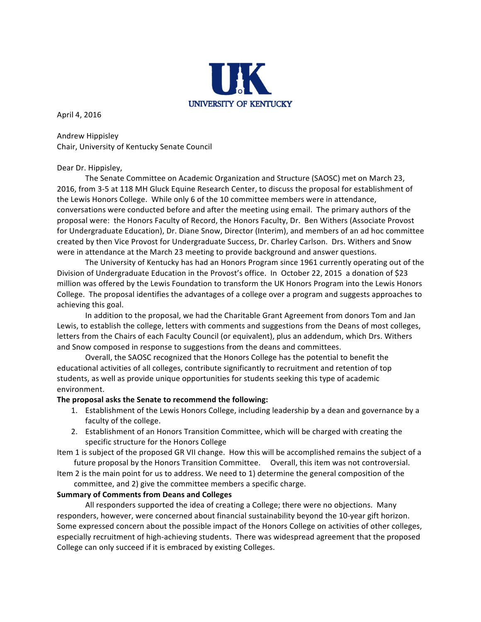

April 4, 2016

Andrew Hippisley Chair, University of Kentucky Senate Council

### Dear Dr. Hippisley,

The Senate Committee on Academic Organization and Structure (SAOSC) met on March 23, 2016, from 3-5 at 118 MH Gluck Equine Research Center, to discuss the proposal for establishment of the Lewis Honors College. While only 6 of the 10 committee members were in attendance, conversations were conducted before and after the meeting using email. The primary authors of the proposal were: the Honors Faculty of Record, the Honors Faculty, Dr. Ben Withers (Associate Provost for Undergraduate Education), Dr. Diane Snow, Director (Interim), and members of an ad hoc committee created by then Vice Provost for Undergraduate Success, Dr. Charley Carlson. Drs. Withers and Snow were in attendance at the March 23 meeting to provide background and answer questions.

The University of Kentucky has had an Honors Program since 1961 currently operating out of the Division of Undergraduate Education in the Provost's office. In October 22, 2015 a donation of \$23 million was offered by the Lewis Foundation to transform the UK Honors Program into the Lewis Honors College. The proposal identifies the advantages of a college over a program and suggests approaches to achieving this goal.

In addition to the proposal, we had the Charitable Grant Agreement from donors Tom and Jan Lewis, to establish the college, letters with comments and suggestions from the Deans of most colleges, letters from the Chairs of each Faculty Council (or equivalent), plus an addendum, which Drs. Withers and Snow composed in response to suggestions from the deans and committees.

Overall, the SAOSC recognized that the Honors College has the potential to benefit the educational activities of all colleges, contribute significantly to recruitment and retention of top students, as well as provide unique opportunities for students seeking this type of academic environment. 

### The proposal asks the Senate to recommend the following:

- 1. Establishment of the Lewis Honors College, including leadership by a dean and governance by a faculty of the college.
- 2. Establishment of an Honors Transition Committee, which will be charged with creating the specific structure for the Honors College

Item 1 is subject of the proposed GR VII change. How this will be accomplished remains the subject of a future proposal by the Honors Transition Committee. Overall, this item was not controversial.

Item 2 is the main point for us to address. We need to 1) determine the general composition of the committee, and 2) give the committee members a specific charge.

### **Summary of Comments from Deans and Colleges**

All responders supported the idea of creating a College; there were no objections. Many responders, however, were concerned about financial sustainability beyond the 10-year gift horizon. Some expressed concern about the possible impact of the Honors College on activities of other colleges, especially recruitment of high-achieving students. There was widespread agreement that the proposed College can only succeed if it is embraced by existing Colleges.